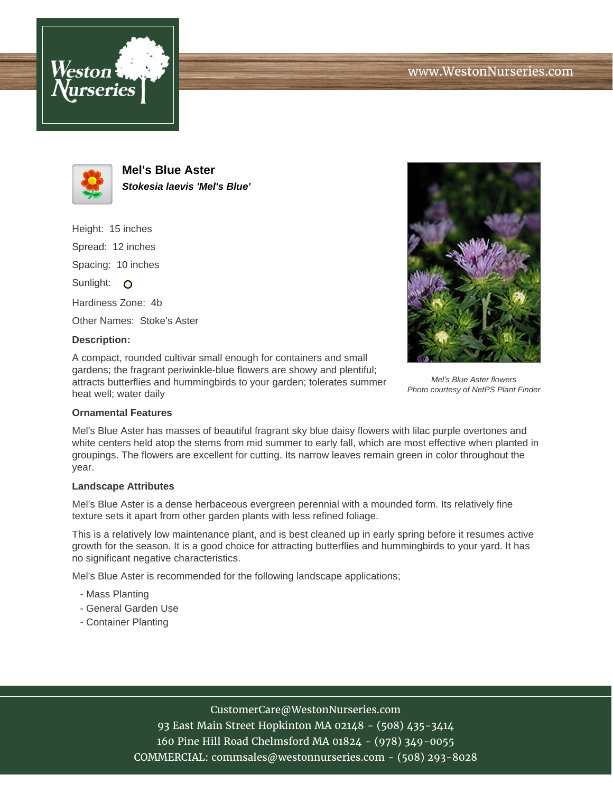



**Mel's Blue Aster Stokesia laevis 'Mel's Blue'**

Height: 15 inches Spread: 12 inches Spacing: 10 inches Sunlight: O Hardiness Zone: 4b Other Names: Stoke's Aster **Description:**

A compact, rounded cultivar small enough for containers and small gardens; the fragrant periwinkle-blue flowers are showy and plentiful; attracts butterflies and hummingbirds to your garden; tolerates summer heat well; water daily



Mel's Blue Aster flowers Photo courtesy of NetPS Plant Finder

## **Ornamental Features**

Mel's Blue Aster has masses of beautiful fragrant sky blue daisy flowers with lilac purple overtones and white centers held atop the stems from mid summer to early fall, which are most effective when planted in groupings. The flowers are excellent for cutting. Its narrow leaves remain green in color throughout the year.

## **Landscape Attributes**

Mel's Blue Aster is a dense herbaceous evergreen perennial with a mounded form. Its relatively fine texture sets it apart from other garden plants with less refined foliage.

This is a relatively low maintenance plant, and is best cleaned up in early spring before it resumes active growth for the season. It is a good choice for attracting butterflies and hummingbirds to your yard. It has no significant negative characteristics.

Mel's Blue Aster is recommended for the following landscape applications;

- Mass Planting
- General Garden Use
- Container Planting

## CustomerCare@WestonNurseries.com

93 East Main Street Hopkinton MA 02148 - (508) 435-3414 160 Pine Hill Road Chelmsford MA 01824 - (978) 349-0055 COMMERCIAL: commsales@westonnurseries.com - (508) 293-8028